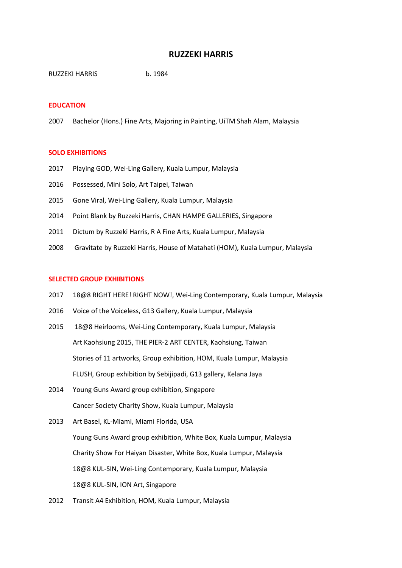# **RUZZEKI HARRIS**

RUZZEKI HARRIS b. 1984

#### **EDUCATION**

2007 Bachelor (Hons.) Fine Arts, Majoring in Painting, UiTM Shah Alam, Malaysia

### **SOLO EXHIBITIONS**

- 2017 Playing GOD, Wei-Ling Gallery, Kuala Lumpur, Malaysia
- 2016 Possessed, Mini Solo, Art Taipei, Taiwan
- 2015 Gone Viral, Wei-Ling Gallery, Kuala Lumpur, Malaysia
- 2014 Point Blank by Ruzzeki Harris, CHAN HAMPE GALLERIES, Singapore
- 2011 Dictum by Ruzzeki Harris, R A Fine Arts, Kuala Lumpur, Malaysia
- 2008 Gravitate by Ruzzeki Harris, House of Matahati (HOM), Kuala Lumpur, Malaysia

#### **SELECTED GROUP EXHIBITIONS**

- 2017 18@8 RIGHT HERE! RIGHT NOW!, Wei-Ling Contemporary, Kuala Lumpur, Malaysia
- 2016 Voice of the Voiceless, G13 Gallery, Kuala Lumpur, Malaysia
- 2015 18@8 Heirlooms, Wei-Ling Contemporary, Kuala Lumpur, Malaysia Art Kaohsiung 2015, THE PIER-2 ART CENTER, Kaohsiung, Taiwan Stories of 11 artworks, Group exhibition, HOM, Kuala Lumpur, Malaysia FLUSH, Group exhibition by Sebijipadi, G13 gallery, Kelana Jaya
- 2014 Young Guns Award group exhibition, Singapore Cancer Society Charity Show, Kuala Lumpur, Malaysia
- 2013 Art Basel, KL-Miami, Miami Florida, USA Young Guns Award group exhibition, White Box, Kuala Lumpur, Malaysia Charity Show For Haiyan Disaster, White Box, Kuala Lumpur, Malaysia 18@8 KUL-SIN, Wei-Ling Contemporary, Kuala Lumpur, Malaysia 18@8 KUL-SIN, ION Art, Singapore
- 2012 Transit A4 Exhibition, HOM, Kuala Lumpur, Malaysia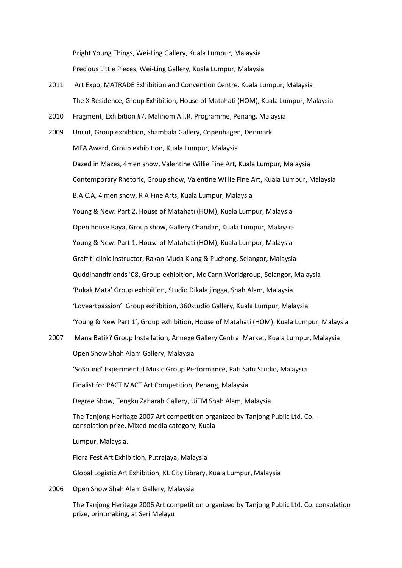Bright Young Things, Wei-Ling Gallery, Kuala Lumpur, Malaysia Precious Little Pieces, Wei-Ling Gallery, Kuala Lumpur, Malaysia

- 2011 Art Expo, MATRADE Exhibition and Convention Centre, Kuala Lumpur, Malaysia The X Residence, Group Exhibition, House of Matahati (HOM), Kuala Lumpur, Malaysia
- 2010 Fragment, Exhibition #7, Malihom A.I.R. Programme, Penang, Malaysia
- 2009 Uncut, Group exhibtion, Shambala Gallery, Copenhagen, Denmark MEA Award, Group exhibition, Kuala Lumpur, Malaysia Dazed in Mazes, 4men show, Valentine Willie Fine Art, Kuala Lumpur, Malaysia Contemporary Rhetoric, Group show, Valentine Willie Fine Art, Kuala Lumpur, Malaysia B.A.C.A, 4 men show, R A Fine Arts, Kuala Lumpur, Malaysia Young & New: Part 2, House of Matahati (HOM), Kuala Lumpur, Malaysia Open house Raya, Group show, Gallery Chandan, Kuala Lumpur, Malaysia Young & New: Part 1, House of Matahati (HOM), Kuala Lumpur, Malaysia Graffiti clinic instructor, Rakan Muda Klang & Puchong, Selangor, Malaysia Quddinandfriends '08, Group exhibition, Mc Cann Worldgroup, Selangor, Malaysia 'Bukak Mata' Group exhibition, Studio Dikala jingga, Shah Alam, Malaysia 'Loveartpassion'. Group exhibition, 360studio Gallery, Kuala Lumpur, Malaysia 'Young & New Part 1', Group exhibition, House of Matahati (HOM), Kuala Lumpur, Malaysia
- 2007 Mana Batik? Group Installation, Annexe Gallery Central Market, Kuala Lumpur, Malaysia Open Show Shah Alam Gallery, Malaysia 'SoSound' Experimental Music Group Performance, Pati Satu Studio, Malaysia Finalist for PACT MACT Art Competition, Penang, Malaysia Degree Show, Tengku Zaharah Gallery, UiTM Shah Alam, Malaysia The Tanjong Heritage 2007 Art competition organized by Tanjong Public Ltd. Co. consolation prize, Mixed media category, Kuala Lumpur, Malaysia. Flora Fest Art Exhibition, Putrajaya, Malaysia Global Logistic Art Exhibition, KL City Library, Kuala Lumpur, Malaysia
- 2006 Open Show Shah Alam Gallery, Malaysia

The Tanjong Heritage 2006 Art competition organized by Tanjong Public Ltd. Co. consolation prize, printmaking, at Seri Melayu